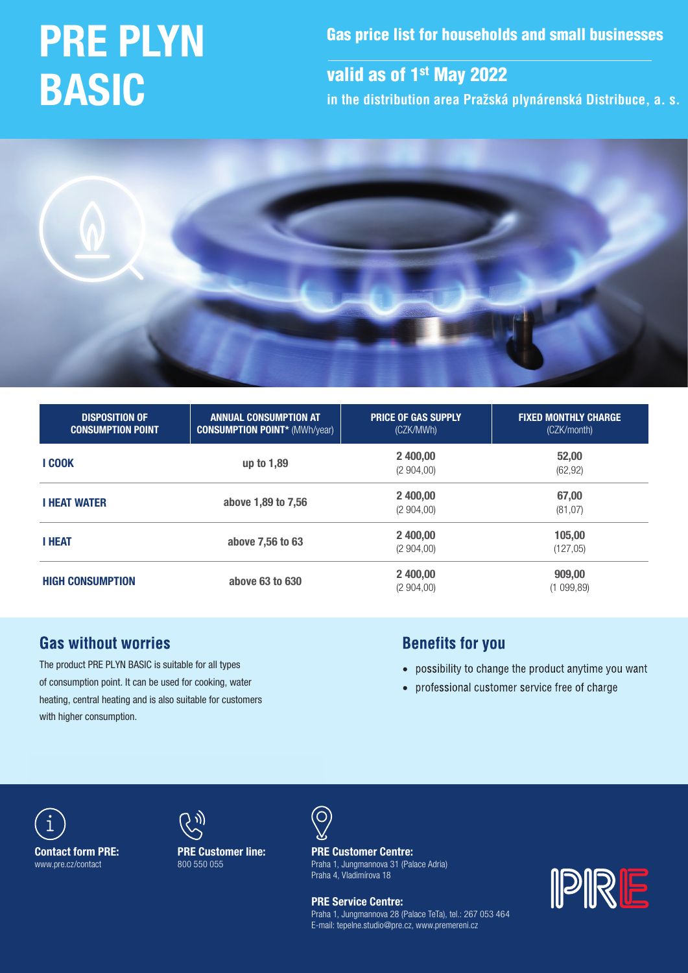# PRE PLYN BASIC

Gas price list for households and small businesses

valid as of 1<sup>st</sup> May 2022

**in the distribution area Pražská plynárenská Distribuce, a. s.**



| <b>DISPOSITION OF</b><br><b>CONSUMPTION POINT</b> | <b>ANNUAL CONSUMPTION AT</b><br><b>CONSUMPTION POINT* (MWh/year)</b> | <b>PRICE OF GAS SUPPLY</b><br>(CZK/MWh) | <b>FIXED MONTHLY CHARGE</b><br>(CZK/month) |  |
|---------------------------------------------------|----------------------------------------------------------------------|-----------------------------------------|--------------------------------------------|--|
| <b>I COOK</b>                                     | up to 1,89                                                           | 2 400,00<br>(2904,00)                   | 52,00<br>(62, 92)                          |  |
| <b>I HEAT WATER</b>                               | above 1,89 to 7,56                                                   | 2 400,00<br>(2904,00)                   | 67,00<br>(81, 07)                          |  |
| <b>I HEAT</b>                                     | above 7,56 to 63                                                     | 2 400,00<br>(2904,00)                   | 105,00<br>(127,05)                         |  |
| <b>HIGH CONSUMPTION</b>                           | above 63 to 630                                                      | 2 400,00<br>(2904,00)                   | 909,00<br>(1099, 89)                       |  |

# **Gas without worries**

The product PRE PLYN BASIC is suitable for all types of consumption point. It can be used for cooking, water heating, central heating and is also suitable for customers with higher consumption.

# **Benefits for you**

- possibility to change the product anytime you want
- professional customer service free of charge





PRE Customer line: 800 550 055



Praha 4, Vladimírova 18  $\frac{1}{2}$  and  $\frac{1}{2}$  and  $\frac{1}{2}$  and  $\frac{1}{2}$  and  $\frac{1}{2}$  and  $\frac{1}{2}$  and  $\frac{1}{2}$  and  $\frac{1}{2}$  and  $\frac{1}{2}$  and  $\frac{1}{2}$  and  $\frac{1}{2}$  and  $\frac{1}{2}$  and  $\frac{1}{2}$  and  $\frac{1}{2}$  and  $\frac{1}{2}$  and  $\frac{1}{2}$  a PRE Customer Centre: Praha 1, Jungmannova 31 (Palace Adria)

**Tel.: 800 500 550 500 550 500 550 500 550 500 500 500 500 500 500 500 500 500 500 500 500 500 500 500 500 500 500 500 500 500 500 500 500 500 500 500 500 500 500 500 500 500 500 500 500 500 500 500 500 500 500 500 500 500** 0QFOJOHIPVST: .Po–'s Fialla I, Jul<br>Po–'s Praha 4, Vladimírova 18 Praha 1, Jungmannova 28 (Palace TeTa), tel.: 267 053 464 E-mail: tepelne.studio@pre.cz, www.premereni.cz